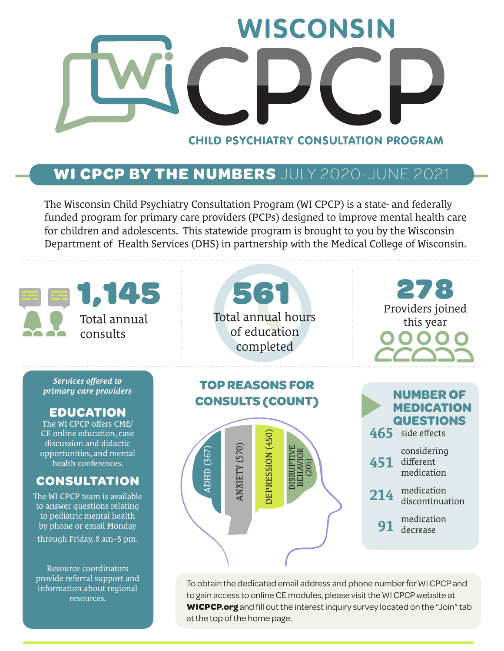

## **WI CPCP BY THE NUMBERS** JULY 2020-JUNE 2021

The Wisconsin Child Psychiatry Consultation Program (WI CPCP) is a state- and federally funded program for primary care providers (PCPs) designed to improve mental health care for children and adolescents. This statewide program is brought to you by the Wisconsin Department of Health Services (DHS) in partnership with the Medical College of Wisconsin.

| 1,145<br>Total annual<br>consults                                                                                                                                                                                                                                                                                                                                                        | 561<br>Total annual hours<br>of education<br>completed                                                                                               | 278<br>Providers joined<br>this year                                                                                                                                                             |
|------------------------------------------------------------------------------------------------------------------------------------------------------------------------------------------------------------------------------------------------------------------------------------------------------------------------------------------------------------------------------------------|------------------------------------------------------------------------------------------------------------------------------------------------------|--------------------------------------------------------------------------------------------------------------------------------------------------------------------------------------------------|
| Services offered to<br>primary care providers<br><b>EDUCATION</b><br>The WI CPCP offers CME/<br>CE online education, case<br>discussion and didactic<br>opportunities, and mental<br>health conferences.<br><b>CONSULTATION</b><br>The WI CPCP team is available<br>to answer questions relating<br>to pediatric mental health<br>by phone or email Monday<br>through Friday, 8 am-5 pm. | <b>TOP REASONS FOR</b><br><b>CONSULTS (COUNT)</b><br>DEPRESSION (450)<br>ANXIETY (570)<br>(367)<br>DISRUPTI<br><b>BEHAVI</b><br>(205)<br><b>ADHD</b> | <b>NUMBER OF</b><br><b>MEDICATION</b><br><b>QUESTIONS</b><br>465 side effects<br>considering<br>different<br>451<br>medication<br>medication<br>214<br>discontinuation<br>medication<br>decrease |

Resource coordinators provide referral support and information about regional resources.

To obtain the dedicated email address and phone number for WI CPCP and to gain access to online CE modules, please visit the WI CPCP website at **WICPCP.org** and fill out the interest inquiry survey located on the "Join" tab at the top of the home page.